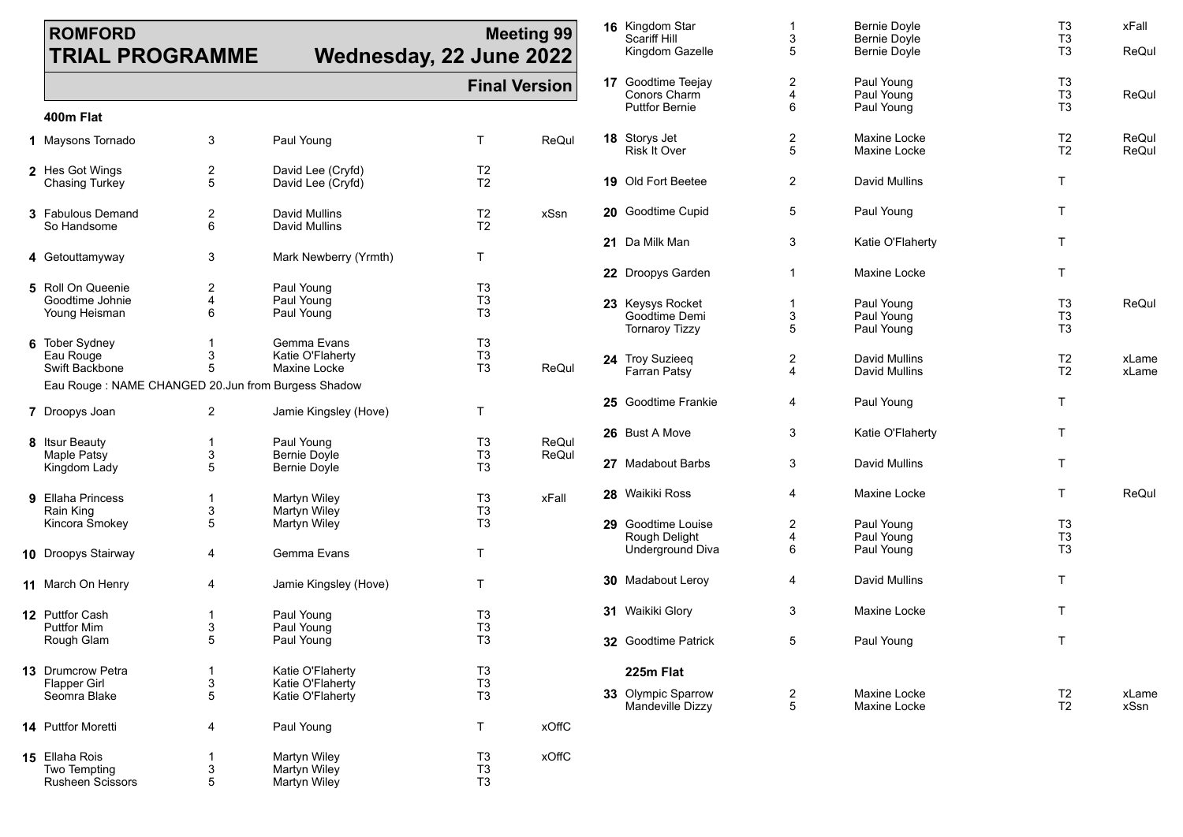### **ROMFORD TRIAL PROGRAMME**

# **Wednesday, 22.**

| <b>Meeting 99</b><br><b>June 2022</b> |                      | 16 Kingdom Star<br><b>Scariff Hill</b><br>Kingdom Gazelle          | 1<br>3<br>5  | <b>Bernie Doyle</b><br><b>Bernie Doyle</b><br><b>Bernie Doyle</b> | T <sub>3</sub><br>T <sub>3</sub><br>T <sub>3</sub> | xFall<br>ReQul |
|---------------------------------------|----------------------|--------------------------------------------------------------------|--------------|-------------------------------------------------------------------|----------------------------------------------------|----------------|
|                                       | <b>Final Version</b> | <b>17</b> Goodtime Teejay<br>Conors Charm<br><b>Puttfor Bernie</b> | 2<br>4<br>6  | Paul Young<br>Paul Young<br>Paul Young                            | T <sub>3</sub><br>T <sub>3</sub><br>T <sub>3</sub> | ReQul          |
| Τ                                     | ReQul                | 18 Storys Jet<br><b>Risk It Over</b>                               | 2<br>5       | Maxine Locke<br>Maxine Locke                                      | T <sub>2</sub><br>T <sub>2</sub>                   | ReQul<br>ReQul |
| T <sub>2</sub><br>T <sub>2</sub>      |                      | 19 Old Fort Beetee                                                 | 2            | <b>David Mullins</b>                                              | T.                                                 |                |
| T <sub>2</sub><br>T <sub>2</sub>      | xSsn                 | 20 Goodtime Cupid                                                  | 5            | Paul Young                                                        | T.                                                 |                |
| Τ                                     |                      | 21 Da Milk Man                                                     | 3            | Katie O'Flaherty                                                  | T.                                                 |                |
| T3                                    |                      | 22 Droopys Garden                                                  | $\mathbf{1}$ | Maxine Locke                                                      | T.                                                 |                |
| T3<br>T <sub>3</sub>                  |                      | 23 Keysys Rocket<br>Goodtime Demi<br><b>Tornaroy Tizzy</b>         | 1<br>3<br>5  | Paul Young<br>Paul Young<br>Paul Young                            | T <sub>3</sub><br>T <sub>3</sub><br>T <sub>3</sub> | ReQul          |
| T3<br>T3<br>T3                        | ReQul                | 24 Troy Suzieeq<br><b>Farran Patsy</b>                             | 2<br>4       | <b>David Mullins</b><br>David Mullins                             | T <sub>2</sub><br>T <sub>2</sub>                   | xLame<br>xLame |
| Τ                                     |                      | 25 Goodtime Frankie                                                | 4            | Paul Young                                                        | T.                                                 |                |
| T3<br>T3                              | ReQul<br>ReQul       | 26 Bust A Move                                                     | 3            | Katie O'Flaherty                                                  | T                                                  |                |
| T <sub>3</sub>                        |                      | 27 Madabout Barbs                                                  | 3            | David Mullins                                                     | T.                                                 |                |
| T3<br>T3                              | xFall                | 28 Waikiki Ross                                                    | 4            | Maxine Locke                                                      | T.                                                 | ReQul          |
| T <sub>3</sub><br>Τ                   |                      | 29 Goodtime Louise<br>Rough Delight<br>Underground Diva            | 2<br>4<br>6  | Paul Young<br>Paul Young<br>Paul Young                            | T <sub>3</sub><br>T <sub>3</sub><br>T <sub>3</sub> |                |
| Τ                                     |                      | <b>30</b> Madabout Leroy                                           | 4            | David Mullins                                                     | T.                                                 |                |
| T3<br>T3                              |                      | 31 Waikiki Glory                                                   | 3            | Maxine Locke                                                      | T.                                                 |                |
| T <sub>3</sub>                        |                      | 32 Goodtime Patrick                                                | 5            | Paul Young                                                        | $\mathsf{T}$                                       |                |
| T3<br>T3                              |                      | 225m Flat                                                          |              |                                                                   |                                                    |                |
| T <sub>3</sub>                        |                      | 33 Olympic Sparrow<br>Mandeville Dizzy                             | 2<br>5       | Maxine Locke<br>Maxine Locke                                      | T <sub>2</sub><br>T <sub>2</sub>                   | xLame<br>xSsn  |
| Τ                                     | <b>xOffC</b>         |                                                                    |              |                                                                   |                                                    |                |

#### **400m Flat**

| 1 Maysons Tornado                                                                                          | 3                                     | Paul Young                                               | т                                                  | ReQul          |
|------------------------------------------------------------------------------------------------------------|---------------------------------------|----------------------------------------------------------|----------------------------------------------------|----------------|
| 2 Hes Got Wings<br><b>Chasing Turkey</b>                                                                   | 2<br>5                                | David Lee (Cryfd)<br>David Lee (Cryfd)                   | T <sub>2</sub><br>T <sub>2</sub>                   |                |
| <b>3</b> Fabulous Demand<br>So Handsome                                                                    | $\overline{2}$<br>6                   | David Mullins<br>David Mullins                           | T <sub>2</sub><br>T <sub>2</sub>                   | xSsn           |
| 4 Getouttamyway                                                                                            | 3                                     | Mark Newberry (Yrmth)                                    | т                                                  |                |
| 5 Roll On Queenie<br>Goodtime Johnie<br>Young Heisman                                                      | $\overline{2}$<br>$\overline{4}$<br>6 | Paul Young<br>Paul Young<br>Paul Young                   | T <sub>3</sub><br>T3<br>T <sub>3</sub>             |                |
| <b>6</b> Tober Sydney<br>Eau Rouge<br>Swift Backbone<br>Eau Rouge: NAME CHANGED 20.Jun from Burgess Shadow | 1<br>3<br>5                           | Gemma Evans<br>Katie O'Flaherty<br><b>Maxine Locke</b>   | T <sub>3</sub><br>T3<br>T3                         | ReQul          |
| 7 Droopys Joan                                                                                             | 2                                     | Jamie Kingsley (Hove)                                    | т                                                  |                |
| 8 Itsur Beauty<br>Maple Patsy<br>Kingdom Lady                                                              | 1<br>3<br>5                           | Paul Young<br><b>Bernie Doyle</b><br>Bernie Doyle        | T3<br>T3<br>T <sub>3</sub>                         | ReQul<br>ReQul |
| 9 Ellaha Princess<br>Rain King<br>Kincora Smokey                                                           | $\mathbf 1$<br>3<br>5                 | Martyn Wiley<br>Martyn Wiley<br>Martyn Wiley             | T <sub>3</sub><br>T <sub>3</sub><br>T <sub>3</sub> | xFall          |
| 10 Droopys Stairway                                                                                        | 4                                     | Gemma Evans                                              | Τ                                                  |                |
| <b>11</b> March On Henry                                                                                   | 4                                     | Jamie Kingsley (Hove)                                    | т                                                  |                |
| <b>12</b> Puttfor Cash<br><b>Puttfor Mim</b><br>Rough Glam                                                 | 1<br>3<br>5                           | Paul Young<br>Paul Young<br>Paul Young                   | T <sub>3</sub><br>T3<br>T <sub>3</sub>             |                |
| <b>13</b> Drumcrow Petra<br>Flapper Girl<br>Seomra Blake                                                   | 1<br>3<br>5                           | Katie O'Flaherty<br>Katie O'Flaherty<br>Katie O'Flaherty | T3<br>T3<br>T3                                     |                |
| <b>14</b> Puttfor Moretti                                                                                  | 4                                     | Paul Young                                               | т                                                  | xOffC          |
| 15 Ellaha Rois<br>Two Tempting<br><b>Rusheen Scissors</b>                                                  | 1<br>3<br>5                           | Martyn Wiley<br>Martyn Wiley<br>Martyn Wiley             | T3<br>T3<br>T3                                     | <b>xOffC</b>   |